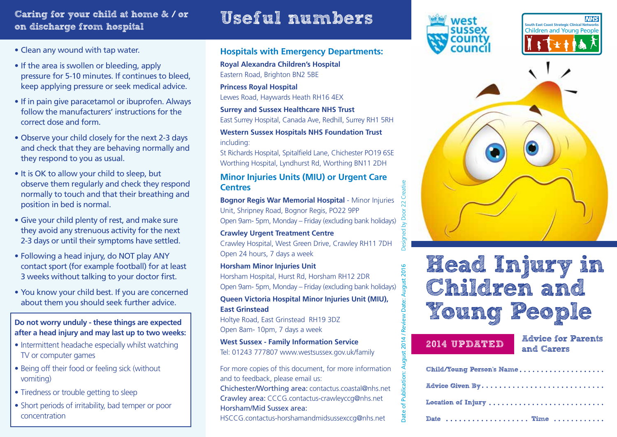## Caring for your child at home & / or on discharge from hospital

# Useful numbers

- Clean any wound with tap water.
- If the area is swollen or bleeding, apply pressure for 5-10 minutes. If continues to bleed, keep applying pressure or seek medical advice.
- If in pain give paracetamol or ibuprofen. Always follow the manufacturers' instructions for the correct dose and form.
- Observe your child closely for the next 2-3 days and check that they are behaving normally and they respond to you as usual.
- It is OK to allow your child to sleep, but observe them regularly and check they respond normally to touch and that their breathing and position in bed is normal.
- Give your child plenty of rest, and make sure they avoid any strenuous activity for the next 2-3 days or until their symptoms have settled.
- Following a head injury, do NOT play ANY contact sport (for example football) for at least 3 weeks without talking to your doctor first.
- You know your child best. If you are concerned about them you should seek further advice.

**Do not worry unduly - these things are expected after a head injury and may last up to two weeks:**

- Intermittent headache especially whilst watching TV or computer games
- Being off their food or feeling sick (without vomiting)
- Tiredness or trouble getting to sleep
- Short periods of irritability, bad temper or poor concentration

### **Hospitals with Emergency Departments:**

**Royal Alexandra Children's Hospital** Eastern Road, Brighton BN2 5BE

**Princess Royal Hospital**

Lewes Road, Haywards Heath RH16 4EX

### **Surrey and Sussex Healthcare NHS Trust**

East Surrey Hospital, Canada Ave, Redhill, Surrey RH1 5RH

### **Western Sussex Hospitals NHS Foundation Trust**  including:

St Richards Hospital, Spitalfield Lane, Chichester PO19 6SE Worthing Hospital, Lyndhurst Rd, Worthing BN11 2DH

### **Minor Injuries Units (MIU) or Urgent Care Centres**

**Bognor Regis War Memorial Hospital** - Minor Injuries Unit, Shripney Road, Bognor Regis, PO22 9PP Open 9am- 5pm, Monday – Friday (excluding bank holidays)

**Crawley Urgent Treatment Centre** Crawley Hospital, West Green Drive, Crawley RH11 7DH Open 24 hours, 7 days a week

## **Horsham Minor Injuries Unit**

Horsham Hospital, Hurst Rd, Horsham RH12 2DR Open 9am- 5pm, Monday – Friday (excluding bank holidays)

### **Queen Victoria Hospital Minor Injuries Unit (MIU), East Grinstead**

Holtye Road, East Grinstead RH19 3DZ Open 8am- 10pm, 7 days a week

### **West Sussex - Family Information Service** Tel: 01243 777807 www.westsussex.gov.uk/family

For more copies of this document, for more information and to feedback, please email us: Chichester/Worthing area: contactus.coastal@nhs.net Crawley area: CCCG.contactus-crawleyccg@nhs.net Horsham/Mid Sussex area:

HSCCG.contactus-horshamandmidsussexccg@nhs.net







# Head Injury in Children and Young People

Date of Publication: August 2014 / Review Date: August 2016 Designed by Door 22 Creative

iew Dat ΪŠ.

2014/

August 2016

2014 UPDATED Advice for Parents and Carers

| Child/Young Person's Name |  |
|---------------------------|--|
| <b>Advice Given By</b>    |  |
| Location of Injury        |  |
| Date  Time                |  |